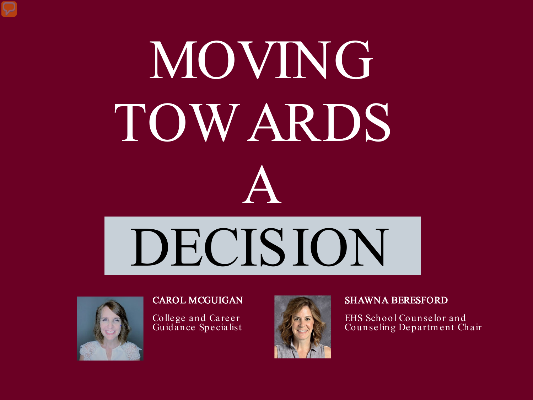# MOVING TOWARDS **TA** DECISION



#### CAROL MCGUIGAN

College and Career Guidance Spe cialist



#### SHAWNA BERESFORD

EHS School Counse lor and Counse ling De partm e nt Chair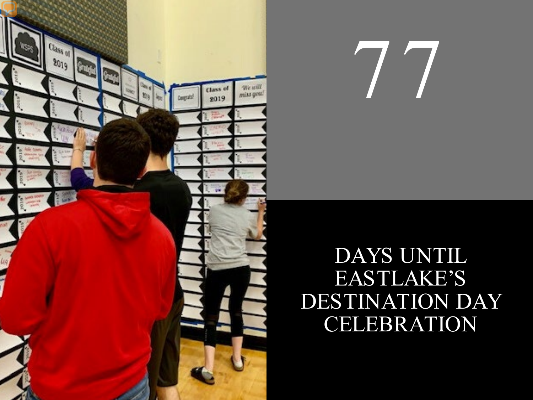

# 77

### DAYS UNTIL EASTLAKE'S DESTINATION DAY CELEBRATION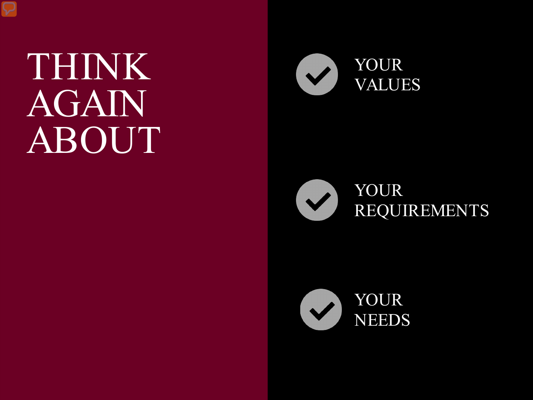## THINK AGAIN **ABOUT**





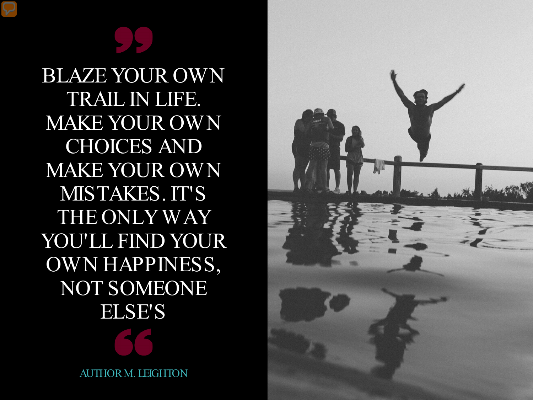BLAZE YOUR OWN TRAIL IN LIFE. MAKE YOUR OWN CHOICES AND MAKE YOUR OWN MISTAKES. IT'S THE ONLY WAY YOU'LL FIND YOUR OWN HAPPINESS, NOT SOMEONE ELSE'S

AUTHOR M. LEIGHTON

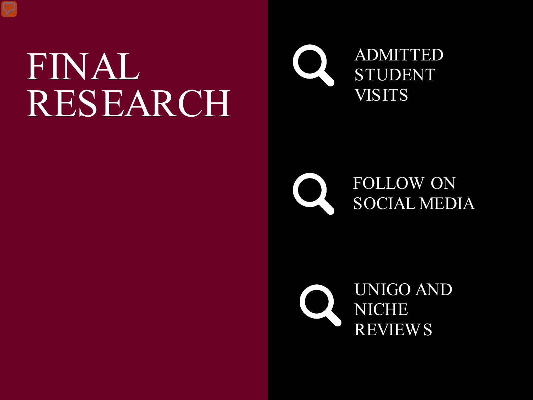## FINAL RESEARCH





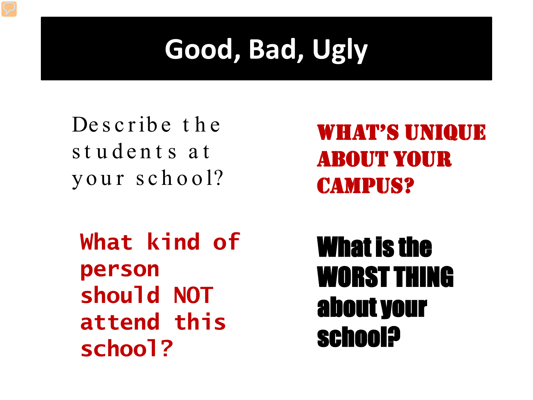### **Good, Bad, Ugly**

De s c r ibe t h e students at your school?

**What kind of person should NOT attend this school?**

What's unique about your campus?

What is the WORST THING about your school?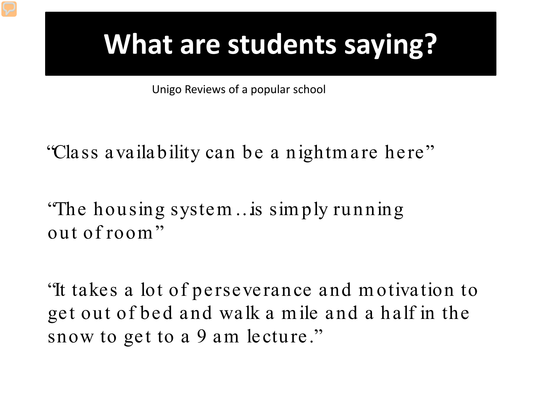### **What are students saying?**

Unigo Reviews of a popular school

"Class availability can be a nightm are here"

"The housing system …is sim ply running out of room"

"It takes a lot of perseverance and m otivation to get out of bed and walk a m ile and a half in the snow to get to a 9 am lecture."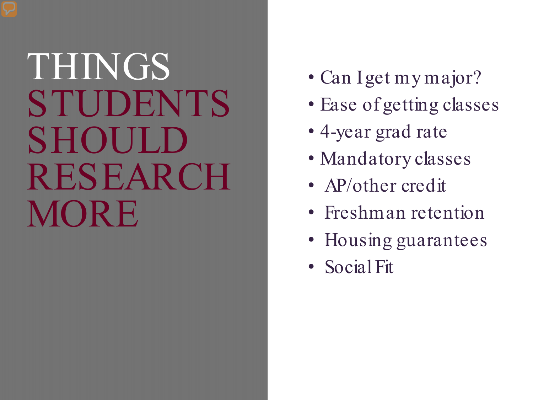THINGS STUDENTS SHOULD RESEARCH MORE

- Can I get my major?
- Ease of getting classes
- 4-year grad rate
- Mandatory classes
- AP/other credit
- Freshman retention
- Housing guarantees
- Social Fit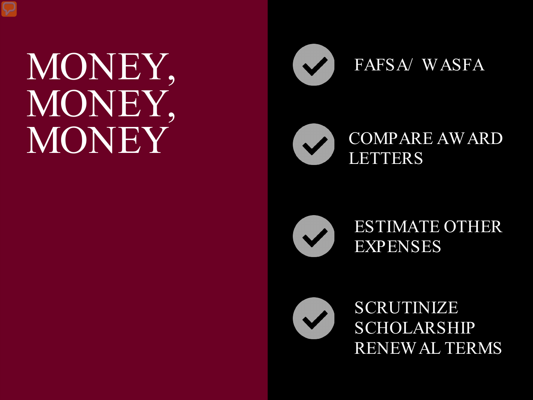## MONEY, MONEY, MONEY



FAFSA/ WASFA





#### ESTIMATE OTHER EXPENSES

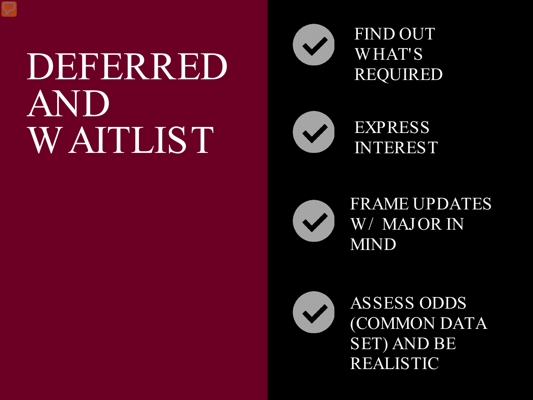## DEFERRED AND WAITLIST





EXPRESS INTEREST



FRAME UPDATES W/ MAJOR IN MIND

ASSESS ODDS (COMMON DATA SET) AND BE REALISTIC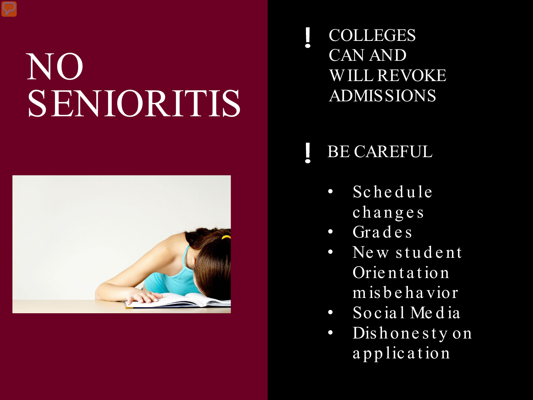## NO SENIORITIS



COLLEGES CAN AND WILL REVOKE ADMISSIONS

### BE CAREFUL

- Schedule changes
- Gra d e s
- New student Orie nt a t ion m is b e ha vior
- Social Media
- Dishonesty on a p p lica t ion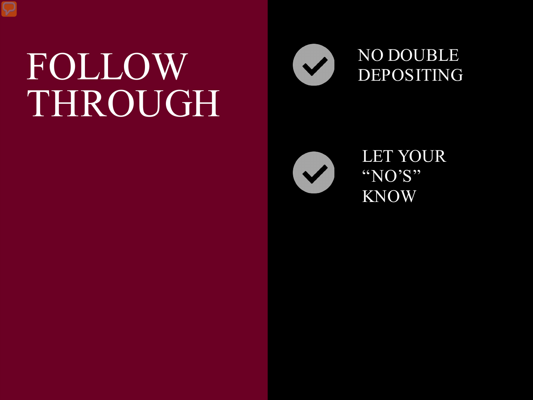## FOLLOW THROUGH



#### NO DOUBLE DEPOSITING



LET YOUR "NO'S" **KNOW**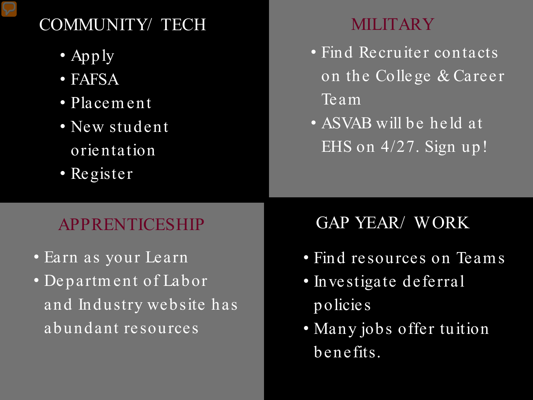#### COMMUNITY/ TECH MILITARY

- Apply
- FAFSA
- Placem ent
- New student orientation
- Register

- Find Recruiter contacts on the College & Career Team
- ASVAB will be held at EHS on 4/27. Sign up!

- Earn as your Learn
- Departm ent of Labor and Industry website has abundant resources

#### APPRENTICESHIP GAP YEAR/ WORK

- Find resources on Team s
- Investigate deferral policies
- Many jobs offer tuition benefits.